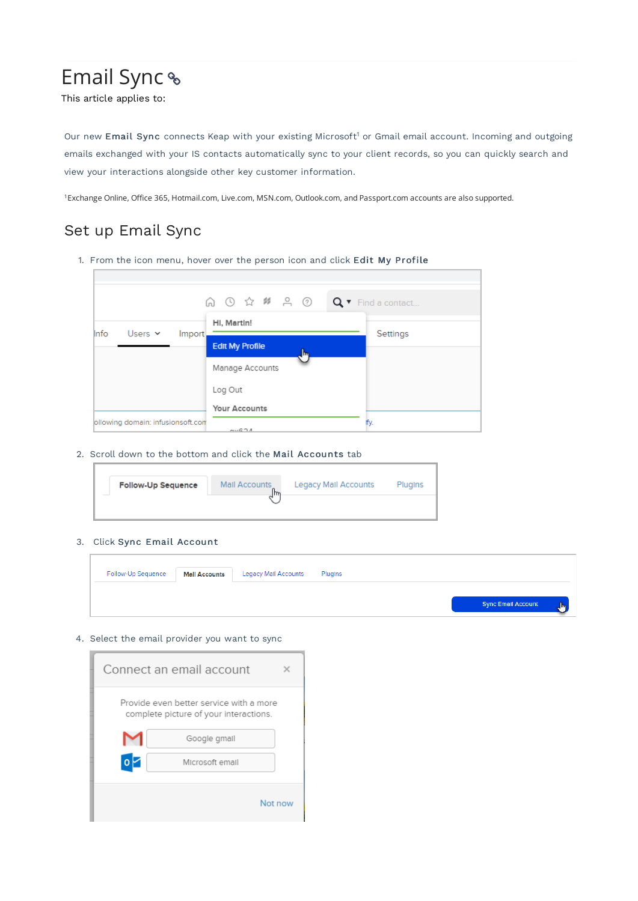# Email Sync

This article applies to:

Our new Email Sync connects Keap with your existing Microsoft<sup>1</sup> or Gmail email account. Incoming and outgoing emails exchanged with your IS contacts automatically sync to your client records, so you can quickly search and view your interactions alongside other key customer information.

Exchange Online, Office 365, Hotmail.com, Live.com, MSN.com, Outlook.com, and Passport.com accounts are also supported. 1

# Set up Email Sync

1. From the icon menu, hover over the person icon and click Edit My Profile



2. Scroll down to the bottom and click the Mail Accounts tab

| <b>Follow-Up Sequence</b> | Mail Accounts<br>lħ | <b>Legacy Mail Accounts</b> | Plugins |
|---------------------------|---------------------|-----------------------------|---------|
|                           |                     |                             |         |

#### 3. Click Sync Email Account

| Follow-Up Sequence | <b>Mall Accounts</b> | <b>Legacy Mail Accounts</b> | Plugins |                           |              |
|--------------------|----------------------|-----------------------------|---------|---------------------------|--------------|
|                    |                      |                             |         | <b>Sync Email Account</b> | $\mathbb{R}$ |

#### 4. Select the email provider you want to sync

| Connect an email account                                                          |  |  |
|-----------------------------------------------------------------------------------|--|--|
| Provide even better service with a more<br>complete picture of your interactions. |  |  |
| Google gmail                                                                      |  |  |
| o<br>Microsoft email                                                              |  |  |
| Not now                                                                           |  |  |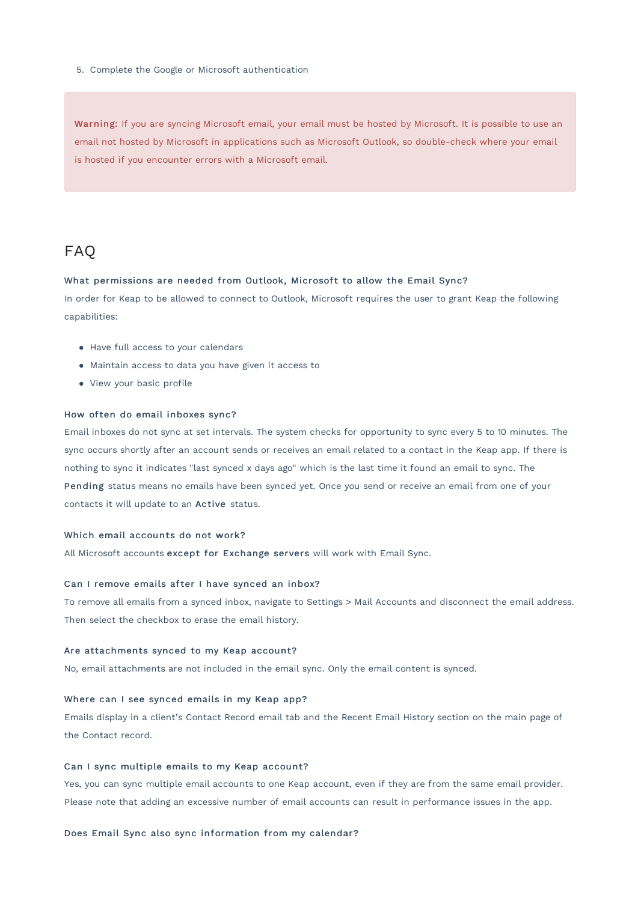5. Complete the Google or Microsoft authentication

Warning: If you are syncing Microsoft email, your email must be hosted by Microsoft. It is possible to use an email not hosted by Microsoft in applications such as Microsoft Outlook, so double-check where your email is hosted if you encounter errors with a Microsoft email.

# FAQ

#### What permissions are needed from Outlook, Microsoft to allow the Email Sync?

In order for Keap to be allowed to connect to Outlook, Microsoft requires the user to grant Keap the following capabilities:

- Have full access to your calendars
- Maintain access to data you have given it access to
- View your basic profile

#### How often do email inboxes sync?

Email inboxes do not sync at set intervals. The system checks for opportunity to sync every 5 to 10 minutes. The sync occurs shortly after an account sends or receives an email related to a contact in the Keap app. If there is nothing to sync it indicates "last synced x days ago" which is the last time it found an email to sync. The Pending status means no emails have been synced yet. Once you send or receive an email from one of your contacts it will update to an Active status.

#### Which email accounts do not work?

All Microsoft accounts except for Exchange servers will work with Email Sync.

#### Can I remove emails after I have synced an inbox?

To remove all emails from a synced inbox, navigate to Settings > Mail Accounts and disconnect the email address. Then select the checkbox to erase the email history.

#### Are attachments synced to my Keap account?

No, email attachments are not included in the email sync. Only the email content is synced.

#### Where can I see synced emails in my Keap app?

Emails display in a client's Contact Record email tab and the Recent Email History section on the main page of the Contact record.

#### Can I sync multiple emails to my Keap account?

Yes, you can sync multiple email accounts to one Keap account, even if they are from the same email provider. Please note that adding an excessive number of email accounts can result in performance issues in the app.

#### Does Email Sync also sync information from my calendar?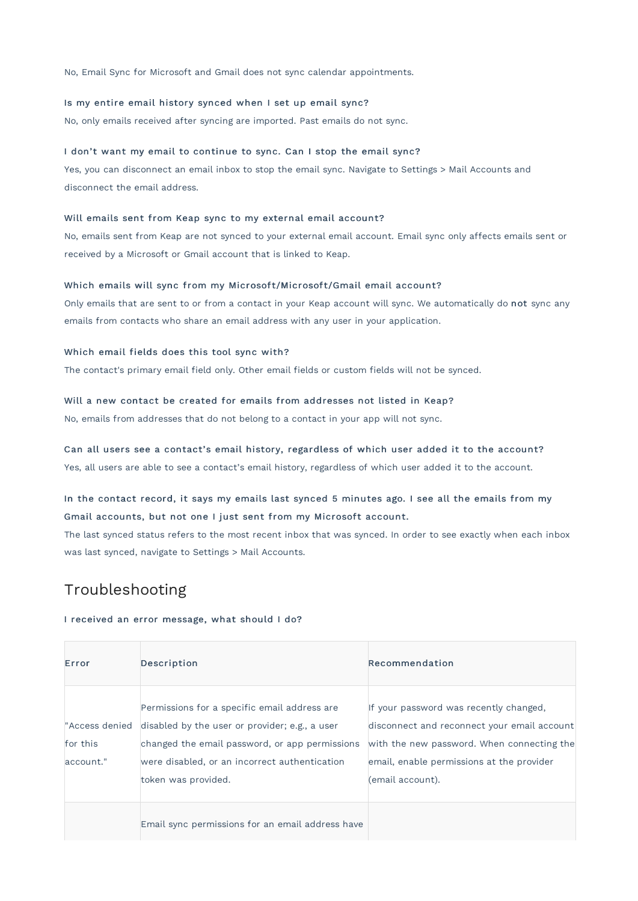No, Email Sync for Microsoft and Gmail does not sync calendar appointments.

#### Is my entire email history synced when I set up email sync?

No, only emails received after syncing are imported. Past emails do not sync.

#### I don't want my email to continue to sync. Can I stop the email sync?

Yes, you can disconnect an email inbox to stop the email sync. Navigate to Settings > Mail Accounts and disconnect the email address.

#### Will emails sent from Keap sync to my external email account?

No, emails sent from Keap are not synced to your external email account. Email sync only affects emails sent or received by a Microsoft or Gmail account that is linked to Keap.

#### Which emails will sync from my Microsoft/Microsoft/Gmail email account?

Only emails that are sent to or from a contact in your Keap account will sync. We automatically do not sync any emails from contacts who share an email address with any user in your application.

#### Which email fields does this tool sync with?

The contact's primary email field only. Other email fields or custom fields will not be synced.

#### Will a new contact be created for emails from addresses not listed in Keap?

No, emails from addresses that do not belong to a contact in your app will not sync.

#### Can all users see a contact's email history, regardless of which user added it to the account?

Yes, all users are able to see a contact's email history, regardless of which user added it to the account.

### In the contact record, it says my emails last synced 5 minutes ago. I see all the emails from my Gmail accounts, but not one I just sent from my Microsoft account.

The last synced status refers to the most recent inbox that was synced. In order to see exactly when each inbox was last synced, navigate to Settings > Mail Accounts.

# Troubleshooting

#### I received an error message, what should I do?

| Error                 | Description                                                                                                                                                                                                                              | Recommendation                                                                                                                                                                                       |
|-----------------------|------------------------------------------------------------------------------------------------------------------------------------------------------------------------------------------------------------------------------------------|------------------------------------------------------------------------------------------------------------------------------------------------------------------------------------------------------|
| for this<br>account." | Permissions for a specific email address are.<br>"Access denied disabled by the user or provider; e.g., a user<br>changed the email password, or app permissions<br>were disabled, or an incorrect authentication<br>token was provided. | If your password was recently changed,<br>disconnect and reconnect your email account<br>with the new password. When connecting the<br>email, enable permissions at the provider<br>(email account). |
|                       | Email sync permissions for an email address have                                                                                                                                                                                         |                                                                                                                                                                                                      |